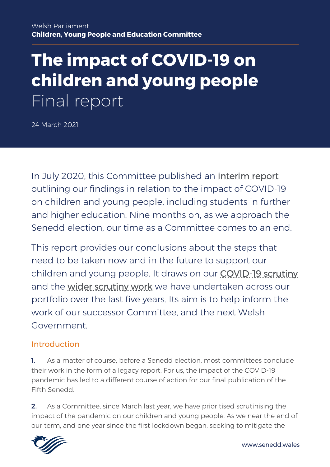# **The impact of COVID-19 on children and young people** Final report

24 March 2021

In July 2020, this Committee published an [interim report](https://senedd.wales/laid%20documents/cr-ld13315/cr-ld13315%20-e.pdf) outlining our findings in relation to the impact of COVID-19 on children and young people, including students in further and higher education. Nine months on, as we approach the Senedd election, our time as a Committee comes to an end.

This report provides our conclusions about the steps that need to be taken now and in the future to support our children and young people. It draws on our [COVID-19 scrutiny](https://business.senedd.wales/mgIssueHistoryHome.aspx?IId=28348) and the [wider scrutiny work](https://business.senedd.wales/mgIssueHistoryHome.aspx?IId=15142) we have undertaken across our portfolio over the last five years. Its aim is to help inform the work of our successor Committee, and the next Welsh Government.

#### Introduction

1. As a matter of course, before a Senedd election, most committees conclude their work in the form of a legacy report. For us, the impact of the COVID-19 pandemic has led to a different course of action for our final publication of the Fifth Senedd.

2. As a Committee, since March last year, we have prioritised scrutinising the impact of the pandemic on our children and young people. As we near the end of our term, and one year since the first lockdown began, seeking to mitigate the

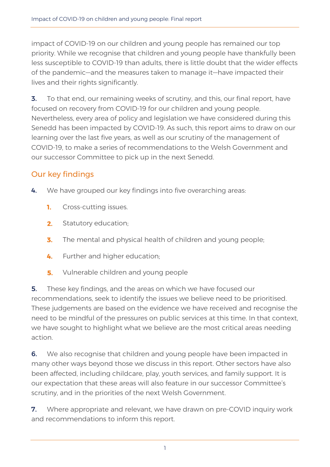impact of COVID-19 on our children and young people has remained our top priority. While we recognise that children and young people have thankfully been less susceptible to COVID-19 than adults, there is little doubt that the wider effects of the pandemic―and the measures taken to manage it―have impacted their lives and their rights significantly.

**3.** To that end, our remaining weeks of scrutiny, and this, our final report, have focused on recovery from COVID-19 for our children and young people. Nevertheless, every area of policy and legislation we have considered during this Senedd has been impacted by COVID-19. As such, this report aims to draw on our learning over the last five years, as well as our scrutiny of the management of COVID-19, to make a series of recommendations to the Welsh Government and our successor Committee to pick up in the next Senedd.

### Our key findings

- 4. We have grouped our key findings into five overarching areas:
	- 1. Cross-cutting issues.
	- $2.$ Statutory education;
	- 3. The mental and physical health of children and young people;
	- Further and higher education; 4.
	- Vulnerable children and young people 5.

**5.** These key findings, and the areas on which we have focused our recommendations, seek to identify the issues we believe need to be prioritised. These judgements are based on the evidence we have received and recognise the need to be mindful of the pressures on public services at this time. In that context, we have sought to highlight what we believe are the most critical areas needing action.

**6.** We also recognise that children and young people have been impacted in many other ways beyond those we discuss in this report. Other sectors have also been affected, including childcare, play, youth services, and family support. It is our expectation that these areas will also feature in our successor Committee's scrutiny, and in the priorities of the next Welsh Government.

**7.** Where appropriate and relevant, we have drawn on pre-COVID inquiry work and recommendations to inform this report.

1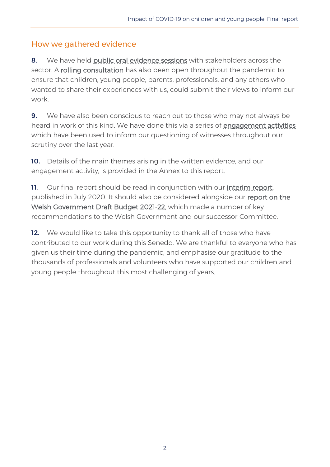#### How we gathered evidence

8. We have held [public oral evidence sessions](https://business.senedd.wales/mgIssueHistoryHome.aspx?IId=28348) with stakeholders across the sector. A [rolling consultation](https://business.senedd.wales/mgConsultationDisplay.aspx?id=392&RPID=1022754019&cp=yes) has also been open throughout the pandemic to ensure that children, young people, parents, professionals, and any others who wanted to share their experiences with us, could submit their views to inform our work.

9. We have also been conscious to reach out to those who may not always be heard in work of this kind. We have done this via a series of [engagement activities](https://business.senedd.wales/mgIssueHistoryHome.aspx?IId=28348) which have been used to inform our questioning of witnesses throughout our scrutiny over the last year.

10. Details of the main themes arising in the written evidence, and our engagement activity, is provided in the Annex to this report.

11. Our final report should be read in conjunction with our interim report, published in July 2020. It should also be considered alongside our [report on the](https://senedd.wales/media/xtho221a/cr-ld14081-e.pdf)  [Welsh Government Draft Budget 2021-22,](https://senedd.wales/media/xtho221a/cr-ld14081-e.pdf) which made a number of key recommendations to the Welsh Government and our successor Committee.

**12.** We would like to take this opportunity to thank all of those who have contributed to our work during this Senedd. We are thankful to everyone who has given us their time during the pandemic, and emphasise our gratitude to the thousands of professionals and volunteers who have supported our children and young people throughout this most challenging of years.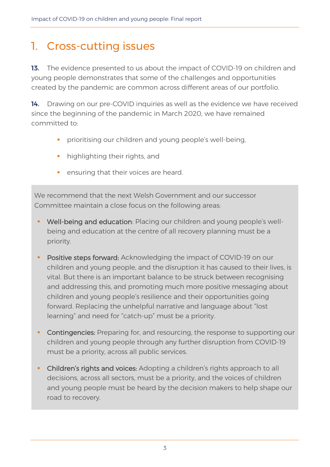## 1. Cross-cutting issues

13. The evidence presented to us about the impact of COVID-19 on children and young people demonstrates that some of the challenges and opportunities created by the pandemic are common across different areas of our portfolio.

14. Drawing on our pre-COVID inquiries as well as the evidence we have received since the beginning of the pandemic in March 2020, we have remained committed to:

- **·** prioritising our children and young people's well-being,
- **·** highlighting their rights, and
- **•** ensuring that their voices are heard.

We recommend that the next Welsh Government and our successor Committee maintain a close focus on the following areas:

- **Well-being and education**: Placing our children and young people's wellbeing and education at the centre of all recovery planning must be a priority.
- Positive steps forward: Acknowledging the impact of COVID-19 on our children and young people, and the disruption it has caused to their lives, is vital. But there is an important balance to be struck between recognising and addressing this, and promoting much more positive messaging about children and young people's resilience and their opportunities going forward. Replacing the unhelpful narrative and language about "lost learning" and need for "catch-up" must be a priority.
- Contingencies: Preparing for, and resourcing, the response to supporting our children and young people through any further disruption from COVID-19 must be a priority, across all public services.
- Children's rights and voices: Adopting a children's rights approach to all decisions, across all sectors, must be a priority, and the voices of children and young people must be heard by the decision makers to help shape our road to recovery.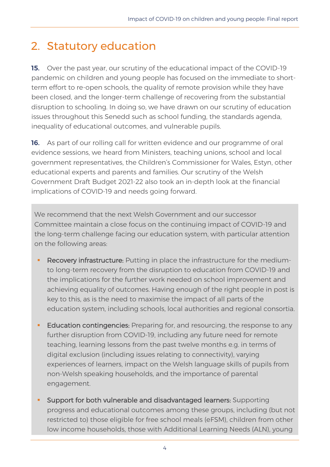# 2. Statutory education

15. Over the past year, our scrutiny of the educational impact of the COVID-19 pandemic on children and young people has focused on the immediate to shortterm effort to re-open schools, the quality of remote provision while they have been closed, and the longer-term challenge of recovering from the substantial disruption to schooling. In doing so, we have drawn on our scrutiny of education issues throughout this Senedd such as school funding, the standards agenda, inequality of educational outcomes, and vulnerable pupils.

16. As part of our rolling call for written evidence and our programme of oral evidence sessions, we heard from Ministers, teaching unions, school and local government representatives, the Children's Commissioner for Wales, Estyn, other educational experts and parents and families. Our scrutiny of the Welsh Government Draft Budget 2021-22 also took an in-depth look at the financial implications of COVID-19 and needs going forward.

We recommend that the next Welsh Government and our successor Committee maintain a close focus on the continuing impact of COVID-19 and the long-term challenge facing our education system, with particular attention on the following areas:

- **EXECOVERY infrastructure:** Putting in place the infrastructure for the mediumto long-term recovery from the disruption to education from COVID-19 and the implications for the further work needed on school improvement and achieving equality of outcomes. Having enough of the right people in post is key to this, as is the need to maximise the impact of all parts of the education system, including schools, local authorities and regional consortia.
- **Education contingencies:** Preparing for, and resourcing, the response to any further disruption from COVID-19, including any future need for remote teaching, learning lessons from the past twelve months e.g. in terms of digital exclusion (including issues relating to connectivity), varying experiences of learners, impact on the Welsh language skills of pupils from non-Welsh speaking households, and the importance of parental engagement.
- **EXECT** Support for both vulnerable and disadvantaged learners: Supporting progress and educational outcomes among these groups, including (but not restricted to) those eligible for free school meals (eFSM), children from other low income households, those with Additional Learning Needs (ALN), young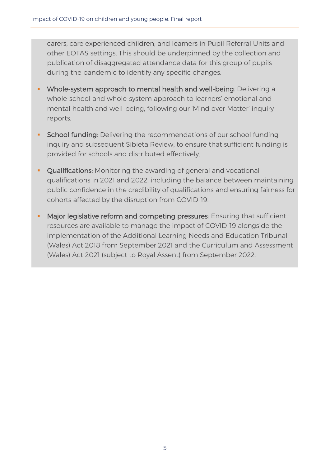carers, care experienced children, and learners in Pupil Referral Units and other EOTAS settings. This should be underpinned by the collection and publication of disaggregated attendance data for this group of pupils during the pandemic to identify any specific changes.

- Whole-system approach to mental health and well-being: Delivering a whole-school and whole-system approach to learners' emotional and mental health and well-being, following our 'Mind over Matter' inquiry reports.
- **EXECT** School funding: Delivering the recommendations of our school funding inquiry and subsequent Sibieta Review, to ensure that sufficient funding is provided for schools and distributed effectively.
- **Qualifications:** Monitoring the awarding of general and vocational qualifications in 2021 and 2022, including the balance between maintaining public confidence in the credibility of qualifications and ensuring fairness for cohorts affected by the disruption from COVID-19.
- **Major legislative reform and competing pressures:** Ensuring that sufficient resources are available to manage the impact of COVID-19 alongside the implementation of the Additional Learning Needs and Education Tribunal (Wales) Act 2018 from September 2021 and the Curriculum and Assessment (Wales) Act 2021 (subject to Royal Assent) from September 2022.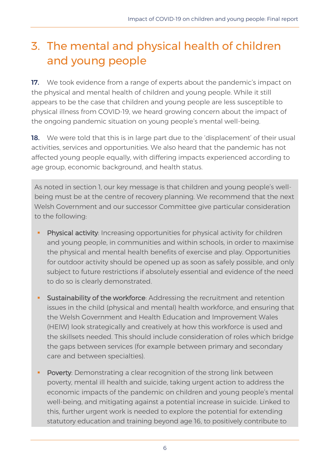# 3. The mental and physical health of children and young people

17. We took evidence from a range of experts about the pandemic's impact on the physical and mental health of children and young people. While it still appears to be the case that children and young people are less susceptible to physical illness from COVID-19, we heard growing concern about the impact of the ongoing pandemic situation on young people's mental well-being.

18. We were told that this is in large part due to the 'displacement' of their usual activities, services and opportunities. We also heard that the pandemic has not affected young people equally, with differing impacts experienced according to age group, economic background, and health status.

• As noted in section 1, our key message is that children and young people's wellbeing must be at the centre of recovery planning. We recommend that the next Welsh Government and our successor Committee give particular consideration to the following:

- Physical activity: Increasing opportunities for physical activity for children and young people, in communities and within schools, in order to maximise the physical and mental health benefits of exercise and play. Opportunities for outdoor activity should be opened up as soon as safely possible, and only subject to future restrictions if absolutely essential and evidence of the need to do so is clearly demonstrated.
- **EXECT** Sustainability of the workforce: Addressing the recruitment and retention issues in the child (physical and mental) health workforce, and ensuring that the Welsh Government and Health Education and Improvement Wales (HEIW) look strategically and creatively at how this workforce is used and the skillsets needed. This should include consideration of roles which bridge the gaps between services (for example between primary and secondary care and between specialties).
- Poverty: Demonstrating a clear recognition of the strong link between poverty, mental ill health and suicide, taking urgent action to address the economic impacts of the pandemic on children and young people's mental well-being, and mitigating against a potential increase in suicide. Linked to this, further urgent work is needed to explore the potential for extending statutory education and training beyond age 16, to positively contribute to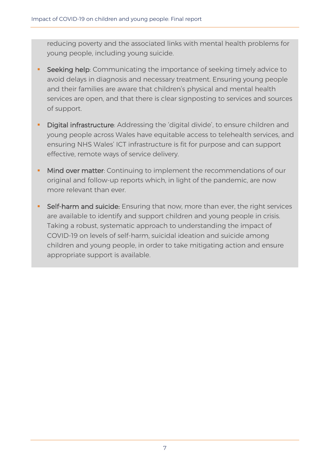reducing poverty and the associated links with mental health problems for young people, including young suicide.

- Seeking help: Communicating the importance of seeking timely advice to avoid delays in diagnosis and necessary treatment. Ensuring young people and their families are aware that children's physical and mental health services are open, and that there is clear signposting to services and sources of support.
- **E** Digital infrastructure: Addressing the 'digital divide', to ensure children and young people across Wales have equitable access to telehealth services, and ensuring NHS Wales' ICT infrastructure is fit for purpose and can support effective, remote ways of service delivery.
- **.** Mind over matter: Continuing to implement the recommendations of our original and follow-up reports which, in light of the pandemic, are now more relevant than ever.
- **Self-harm and suicide:** Ensuring that now, more than ever, the right services are available to identify and support children and young people in crisis. Taking a robust, systematic approach to understanding the impact of COVID-19 on levels of self-harm, suicidal ideation and suicide among children and young people, in order to take mitigating action and ensure appropriate support is available.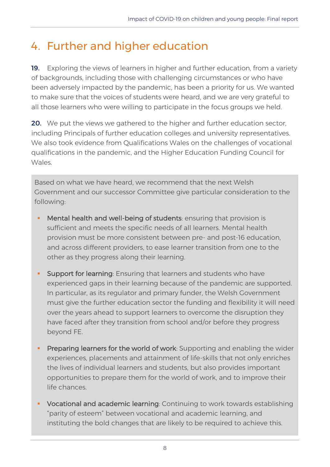# 4. Further and higher education

19. Exploring the views of learners in higher and further education, from a variety of backgrounds, including those with challenging circumstances or who have been adversely impacted by the pandemic, has been a priority for us. We wanted to make sure that the voices of students were heard, and we are very grateful to all those learners who were willing to participate in the focus groups we held.

**20.** We put the views we gathered to the higher and further education sector, including Principals of further education colleges and university representatives. We also took evidence from Qualifications Wales on the challenges of vocational qualifications in the pandemic, and the Higher Education Funding Council for Wales.

Based on what we have heard, we recommend that the next Welsh Government and our successor Committee give particular consideration to the following:

- **EXT** Mental health and well-being of students: ensuring that provision is sufficient and meets the specific needs of all learners. Mental health provision must be more consistent between pre- and post-16 education, and across different providers, to ease learner transition from one to the other as they progress along their learning.
- **Support for learning:** Ensuring that learners and students who have experienced gaps in their learning because of the pandemic are supported. In particular, as its regulator and primary funder, the Welsh Government must give the further education sector the funding and flexibility it will need over the years ahead to support learners to overcome the disruption they have faced after they transition from school and/or before they progress beyond FE.
- **Preparing learners for the world of work:** Supporting and enabling the wider experiences, placements and attainment of life-skills that not only enriches the lives of individual learners and students, but also provides important opportunities to prepare them for the world of work, and to improve their life chances.
- **Vocational and academic learning**: Continuing to work towards establishing "parity of esteem" between vocational and academic learning, and instituting the bold changes that are likely to be required to achieve this.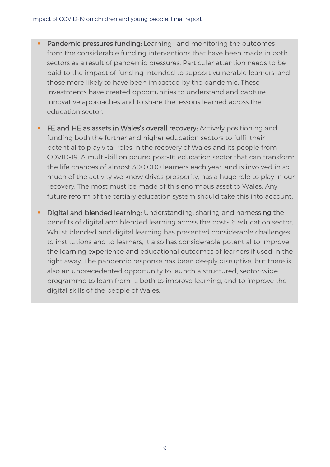- Pandemic pressures funding: Learning-and monitoring the outcomesfrom the considerable funding interventions that have been made in both sectors as a result of pandemic pressures. Particular attention needs to be paid to the impact of funding intended to support vulnerable learners, and those more likely to have been impacted by the pandemic. These investments have created opportunities to understand and capture innovative approaches and to share the lessons learned across the education sector.
- **EXTEE and HE as assets in Wales's overall recovery:** Actively positioning and funding both the further and higher education sectors to fulfil their potential to play vital roles in the recovery of Wales and its people from COVID-19. A multi-billion pound post-16 education sector that can transform the life chances of almost 300,000 learners each year, and is involved in so much of the activity we know drives prosperity, has a huge role to play in our recovery. The most must be made of this enormous asset to Wales. Any future reform of the tertiary education system should take this into account.
- Digital and blended learning: Understanding, sharing and harnessing the benefits of digital and blended learning across the post-16 education sector. Whilst blended and digital learning has presented considerable challenges to institutions and to learners, it also has considerable potential to improve the learning experience and educational outcomes of learners if used in the right away. The pandemic response has been deeply disruptive, but there is also an unprecedented opportunity to launch a structured, sector-wide programme to learn from it, both to improve learning, and to improve the digital skills of the people of Wales.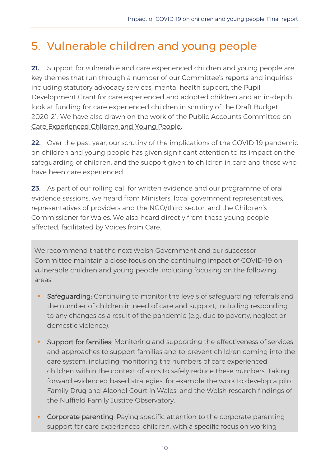### 5. Vulnerable children and young people

21. Support for vulnerable and care experienced children and young people are key themes that run through a number of our Committee's [reports](https://business.senedd.wales/mgIssueHistoryHome.aspx?IId=15121) and inquiries including statutory advocacy services, mental health support, the Pupil Development Grant for care experienced and adopted children and an in-depth look at funding for care experienced children in scrutiny of the Draft Budget 2020-21. We have also drawn on the work of the Public Accounts Committee on [Care Experienced Children and Young People.](https://senedd.wales/laid%20documents/cr-ld11857/cr-ld11857-e.pdf)

22. Over the past year, our scrutiny of the implications of the COVID-19 pandemic on children and young people has given significant attention to its impact on the safeguarding of children, and the support given to children in care and those who have been care experienced.

23. As part of our rolling call for written evidence and our programme of oral evidence sessions, we heard from Ministers, local government representatives, representatives of providers and the NGO/third sector, and the Children's Commissioner for Wales. We also heard directly from those young people affected, facilitated by Voices from Care.

• We recommend that the next Welsh Government and our successor Committee maintain a close focus on the continuing impact of COVID-19 on vulnerable children and young people, including focusing on the following areas:

- Safeguarding: Continuing to monitor the levels of safeguarding referrals and the number of children in need of care and support, including responding to any changes as a result of the pandemic (e.g. due to poverty, neglect or domestic violence).
- **Support for families:** Monitoring and supporting the effectiveness of services and approaches to support families and to prevent children coming into the care system, including monitoring the numbers of care experienced children within the context of aims to safely reduce these numbers. Taking forward evidenced based strategies, for example the work to develop a pilot Family Drug and Alcohol Court in Wales, and the Welsh research findings of the Nuffield Family Justice Observatory.
- Corporate parenting: Paying specific attention to the corporate parenting support for care experienced children, with a specific focus on working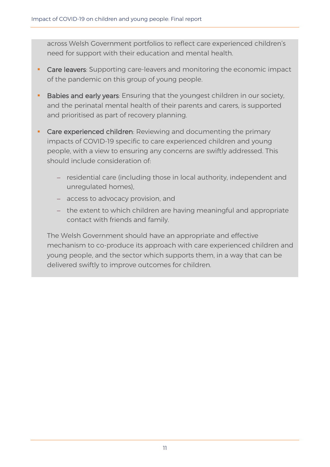across Welsh Government portfolios to reflect care experienced children's need for support with their education and mental health.

- **Care leavers**: Supporting care-leavers and monitoring the economic impact of the pandemic on this group of young people.
- Babies and early years: Ensuring that the youngest children in our society, and the perinatal mental health of their parents and carers, is supported and prioritised as part of recovery planning.
- Care experienced children: Reviewing and documenting the primary impacts of COVID-19 specific to care experienced children and young people, with a view to ensuring any concerns are swiftly addressed. This should include consideration of:
	- − residential care (including those in local authority, independent and unregulated homes),
	- − access to advocacy provision, and
	- − the extent to which children are having meaningful and appropriate contact with friends and family.

The Welsh Government should have an appropriate and effective mechanism to co-produce its approach with care experienced children and young people, and the sector which supports them, in a way that can be delivered swiftly to improve outcomes for children.